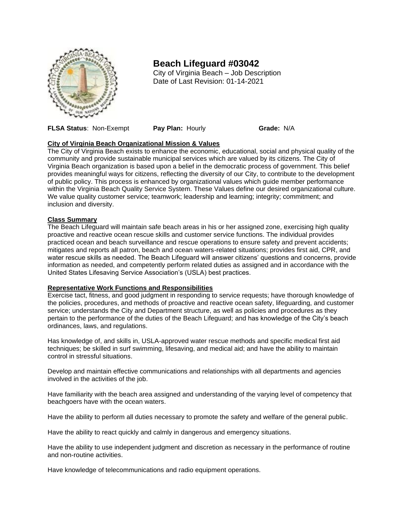

# **Beach Lifeguard #03042**

City of Virginia Beach – Job Description Date of Last Revision: 01-14-2021

**FLSA Status**: Non-Exempt **Pay Plan:** Hourly **Grade:** N/A

# **City of Virginia Beach Organizational Mission & Values**

The City of Virginia Beach exists to enhance the economic, educational, social and physical quality of the community and provide sustainable municipal services which are valued by its citizens. The City of Virginia Beach organization is based upon a belief in the democratic process of government. This belief provides meaningful ways for citizens, reflecting the diversity of our City, to contribute to the development of public policy. This process is enhanced by organizational values which guide member performance within the Virginia Beach Quality Service System. These Values define our desired organizational culture. We value quality customer service; teamwork; leadership and learning; integrity; commitment; and inclusion and diversity.

# **Class Summary**

The Beach Lifeguard will maintain safe beach areas in his or her assigned zone, exercising high quality proactive and reactive ocean rescue skills and customer service functions. The individual provides practiced ocean and beach surveillance and rescue operations to ensure safety and prevent accidents; mitigates and reports all patron, beach and ocean waters-related situations; provides first aid, CPR, and water rescue skills as needed. The Beach Lifeguard will answer citizens' questions and concerns, provide information as needed, and competently perform related duties as assigned and in accordance with the United States Lifesaving Service Association's (USLA) best practices.

# **Representative Work Functions and Responsibilities**

Exercise tact, fitness, and good judgment in responding to service requests; have thorough knowledge of the policies, procedures, and methods of proactive and reactive ocean safety, lifeguarding, and customer service; understands the City and Department structure, as well as policies and procedures as they pertain to the performance of the duties of the Beach Lifeguard; and has knowledge of the City's beach ordinances, laws, and regulations.

Has knowledge of, and skills in, USLA-approved water rescue methods and specific medical first aid techniques; be skilled in surf swimming, lifesaving, and medical aid; and have the ability to maintain control in stressful situations.

Develop and maintain effective communications and relationships with all departments and agencies involved in the activities of the job.

Have familiarity with the beach area assigned and understanding of the varying level of competency that beachgoers have with the ocean waters.

Have the ability to perform all duties necessary to promote the safety and welfare of the general public.

Have the ability to react quickly and calmly in dangerous and emergency situations.

Have the ability to use independent judgment and discretion as necessary in the performance of routine and non-routine activities.

Have knowledge of telecommunications and radio equipment operations.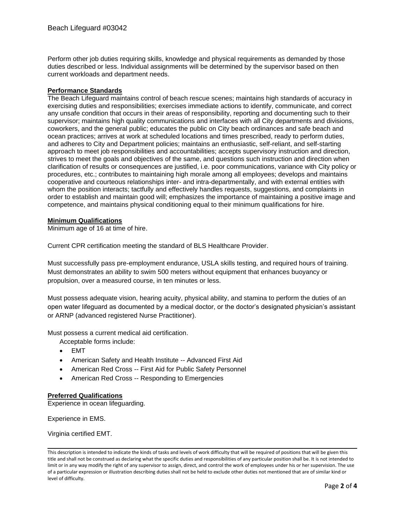Perform other job duties requiring skills, knowledge and physical requirements as demanded by those duties described or less. Individual assignments will be determined by the supervisor based on then current workloads and department needs.

#### **Performance Standards**

The Beach Lifeguard maintains control of beach rescue scenes; maintains high standards of accuracy in exercising duties and responsibilities; exercises immediate actions to identify, communicate, and correct any unsafe condition that occurs in their areas of responsibility, reporting and documenting such to their supervisor; maintains high quality communications and interfaces with all City departments and divisions, coworkers, and the general public; educates the public on City beach ordinances and safe beach and ocean practices; arrives at work at scheduled locations and times prescribed, ready to perform duties, and adheres to City and Department policies; maintains an enthusiastic, self-reliant, and self-starting approach to meet job responsibilities and accountabilities; accepts supervisory instruction and direction, strives to meet the goals and objectives of the same, and questions such instruction and direction when clarification of results or consequences are justified, i.e. poor communications, variance with City policy or procedures, etc.; contributes to maintaining high morale among all employees; develops and maintains cooperative and courteous relationships inter- and intra-departmentally, and with external entities with whom the position interacts; tactfully and effectively handles requests, suggestions, and complaints in order to establish and maintain good will; emphasizes the importance of maintaining a positive image and competence, and maintains physical conditioning equal to their minimum qualifications for hire.

#### **Minimum Qualifications**

Minimum age of 16 at time of hire.

Current CPR certification meeting the standard of BLS Healthcare Provider.

Must successfully pass pre-employment endurance, USLA skills testing, and required hours of training. Must demonstrates an ability to swim 500 meters without equipment that enhances buoyancy or propulsion, over a measured course, in ten minutes or less.

Must possess adequate vision, hearing acuity, physical ability, and stamina to perform the duties of an open water lifeguard as documented by a medical doctor, or the doctor's designated physician's assistant or ARNP (advanced registered Nurse Practitioner).

Must possess a current medical aid certification.

Acceptable forms include:

- EMT
- American Safety and Health Institute -- Advanced First Aid
- American Red Cross -- First Aid for Public Safety Personnel
- American Red Cross -- Responding to Emergencies

# **Preferred Qualifications**

Experience in ocean lifeguarding.

Experience in EMS.

Virginia certified EMT.

This description is intended to indicate the kinds of tasks and levels of work difficulty that will be required of positions that will be given this title and shall not be construed as declaring what the specific duties and responsibilities of any particular position shall be. It is not intended to limit or in any way modify the right of any supervisor to assign, direct, and control the work of employees under his or her supervision. The use of a particular expression or illustration describing duties shall not be held to exclude other duties not mentioned that are of similar kind or level of difficulty.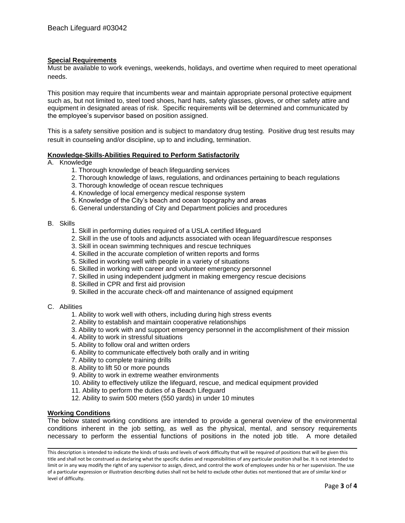# **Special Requirements**

Must be available to work evenings, weekends, holidays, and overtime when required to meet operational needs.

This position may require that incumbents wear and maintain appropriate personal protective equipment such as, but not limited to, steel toed shoes, hard hats, safety glasses, gloves, or other safety attire and equipment in designated areas of risk. Specific requirements will be determined and communicated by the employee's supervisor based on position assigned.

This is a safety sensitive position and is subject to mandatory drug testing. Positive drug test results may result in counseling and/or discipline, up to and including, termination.

#### **Knowledge-Skills-Abilities Required to Perform Satisfactorily**

#### A. Knowledge

- 1. Thorough knowledge of beach lifeguarding services
- 2. Thorough knowledge of laws, regulations, and ordinances pertaining to beach regulations
- 3. Thorough knowledge of ocean rescue techniques
- 4. Knowledge of local emergency medical response system
- 5. Knowledge of the City's beach and ocean topography and areas
- 6. General understanding of City and Department policies and procedures

#### B. Skills

- 1. Skill in performing duties required of a USLA certified lifeguard
- 2. Skill in the use of tools and adjuncts associated with ocean lifeguard/rescue responses
- 3. Skill in ocean swimming techniques and rescue techniques
- 4. Skilled in the accurate completion of written reports and forms
- 5. Skilled in working well with people in a variety of situations
- 6. Skilled in working with career and volunteer emergency personnel
- 7. Skilled in using independent judgment in making emergency rescue decisions
- 8. Skilled in CPR and first aid provision
- 9. Skilled in the accurate check-off and maintenance of assigned equipment
- C. Abilities
	- 1. Ability to work well with others, including during high stress events
	- 2. Ability to establish and maintain cooperative relationships
	- 3. Ability to work with and support emergency personnel in the accomplishment of their mission
	- 4. Ability to work in stressful situations
	- 5. Ability to follow oral and written orders
	- 6. Ability to communicate effectively both orally and in writing
	- 7. Ability to complete training drills
	- 8. Ability to lift 50 or more pounds
	- 9. Ability to work in extreme weather environments
	- 10. Ability to effectively utilize the lifeguard, rescue, and medical equipment provided
	- 11. Ability to perform the duties of a Beach Lifeguard
	- 12. Ability to swim 500 meters (550 yards) in under 10 minutes

#### **Working Conditions**

The below stated working conditions are intended to provide a general overview of the environmental conditions inherent in the job setting, as well as the physical, mental, and sensory requirements necessary to perform the essential functions of positions in the noted job title. A more detailed

This description is intended to indicate the kinds of tasks and levels of work difficulty that will be required of positions that will be given this title and shall not be construed as declaring what the specific duties and responsibilities of any particular position shall be. It is not intended to limit or in any way modify the right of any supervisor to assign, direct, and control the work of employees under his or her supervision. The use of a particular expression or illustration describing duties shall not be held to exclude other duties not mentioned that are of similar kind or level of difficulty.